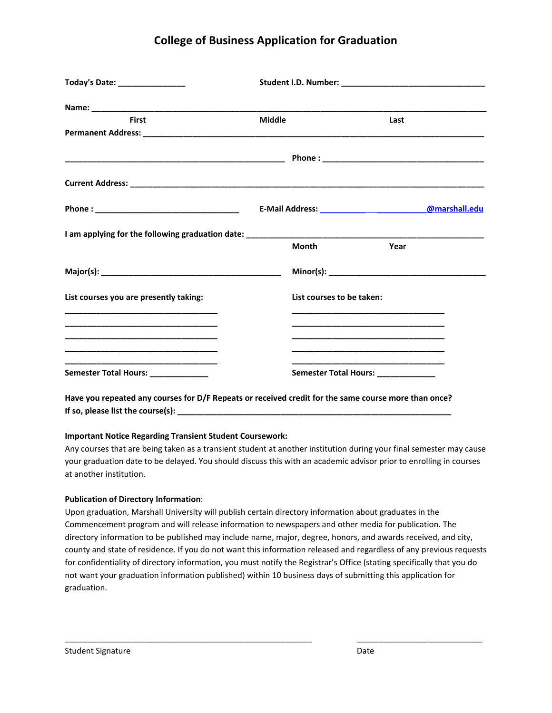## **College of Business Application for Graduation**

| Today's Date: _________________                                                                                                                                                                                                |               |                                                                                                                                                                                                                                                 |  |  |  |
|--------------------------------------------------------------------------------------------------------------------------------------------------------------------------------------------------------------------------------|---------------|-------------------------------------------------------------------------------------------------------------------------------------------------------------------------------------------------------------------------------------------------|--|--|--|
| Name: the contract of the contract of the contract of the contract of the contract of the contract of the contract of the contract of the contract of the contract of the contract of the contract of the contract of the cont |               |                                                                                                                                                                                                                                                 |  |  |  |
| <b>First</b>                                                                                                                                                                                                                   | <b>Middle</b> | Last                                                                                                                                                                                                                                            |  |  |  |
|                                                                                                                                                                                                                                |               |                                                                                                                                                                                                                                                 |  |  |  |
|                                                                                                                                                                                                                                |               |                                                                                                                                                                                                                                                 |  |  |  |
|                                                                                                                                                                                                                                |               | E-Mail Address: _____________________________@marshall.edu                                                                                                                                                                                      |  |  |  |
|                                                                                                                                                                                                                                | Month         | Year                                                                                                                                                                                                                                            |  |  |  |
|                                                                                                                                                                                                                                |               | Minor(s):                                                                                                                                                                                                                                       |  |  |  |
| List courses you are presently taking:                                                                                                                                                                                         |               | List courses to be taken:<br><u> 1989 - Johann John Stone, mars et al. 1989 - John Stone, mars et al. 1989 - John Stone, mars et al. 1989 - Joh</u>                                                                                             |  |  |  |
| <u> 1989 - Johann Stoff, deutscher Stoff, der Stoff, der Stoff, der Stoff, der Stoff, der Stoff, der Stoff, der S</u>                                                                                                          |               | <u> 1989 - Johann John Stoff, deutscher Stoffen und der Stoffen und der Stoffen und der Stoffen und der Stoffen u</u><br><u> 1989 - Johann John Stone, market fan it ferskearre fan it ferskearre fan it ferskearre fan it ferskearre fan i</u> |  |  |  |
| Semester Total Hours: _____________                                                                                                                                                                                            |               | Semester Total Hours: _____________                                                                                                                                                                                                             |  |  |  |
| Have you repeated any courses for D/F Repeats or received credit for the same course more than once?                                                                                                                           |               |                                                                                                                                                                                                                                                 |  |  |  |

**If so, please list the course(s): \_\_\_\_\_\_\_\_\_\_\_\_\_\_\_\_\_\_\_\_\_\_\_\_\_\_\_\_\_\_\_\_\_\_\_\_\_\_\_\_\_\_\_\_\_\_\_\_\_\_\_\_\_\_\_\_\_\_\_\_\_**

## **Important Notice Regarding Transient Student Coursework:**

Any courses that are being taken as a transient student at another institution during your final semester may cause your graduation date to be delayed. You should discuss this with an academic advisor prior to enrolling in courses at another institution.

## **Publication of Directory Information**:

Upon graduation, Marshall University will publish certain directory information about graduates in the Commencement program and will release information to newspapers and other media for publication. The directory information to be published may include name, major, degree, honors, and awards received, and city, county and state of residence. If you do not want this information released and regardless of any previous requests for confidentiality of directory information, you must notify the Registrar's Office (stating specifically that you do not want your graduation information published) within 10 business days of submitting this application for graduation.

\_\_\_\_\_\_\_\_\_\_\_\_\_\_\_\_\_\_\_\_\_\_\_\_\_\_\_\_\_\_\_\_\_\_\_\_\_\_\_\_\_\_\_\_\_\_\_\_\_\_\_\_\_\_\_ \_\_\_\_\_\_\_\_\_\_\_\_\_\_\_\_\_\_\_\_\_\_\_\_\_\_\_\_